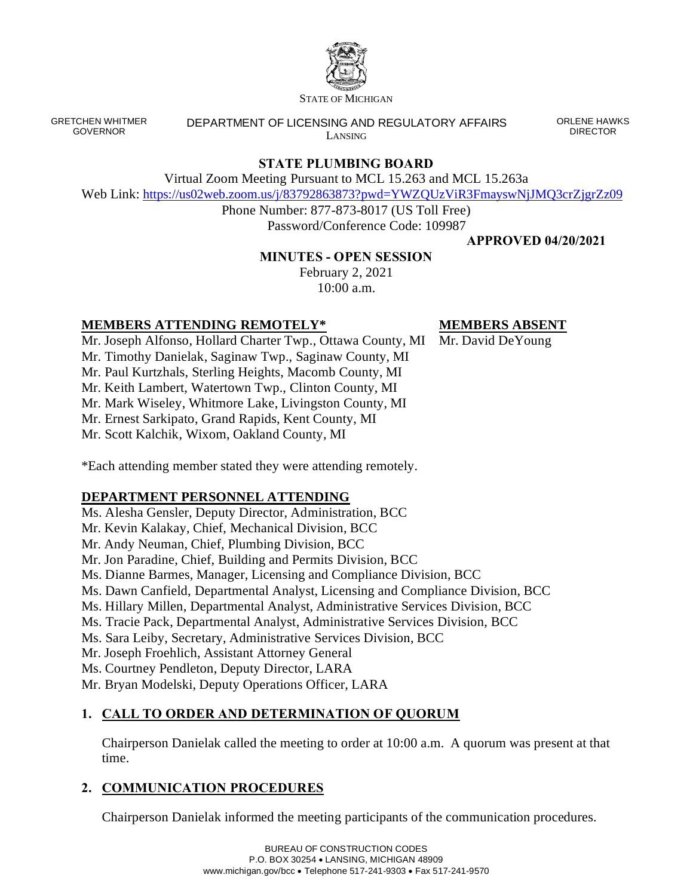

STATE OF MICHIGAN

GRETCHEN WHITMER GOVERNOR

DEPARTMENT OF LICENSING AND REGULATORY AFFAIRS LANSING

ORLENE HAWKS DIRECTOR

# **STATE PLUMBING BOARD**

Virtual Zoom Meeting Pursuant to MCL 15.263 and MCL 15.263a

Web Link: <https://us02web.zoom.us/j/83792863873?pwd=YWZQUzViR3FmayswNjJMQ3crZjgrZz09>

Phone Number: 877-873-8017 (US Toll Free) Password/Conference Code: 109987

**APPROVED 04/20/2021**

## **MINUTES - OPEN SESSION**

February 2, 2021 10:00 a.m.

## **MEMBERS ATTENDING REMOTELY\***

**MEMBERS ABSENT**

Mr. Joseph Alfonso, Hollard Charter Twp., Ottawa County, MI Mr. David DeYoung Mr. Timothy Danielak, Saginaw Twp., Saginaw County, MI Mr. Paul Kurtzhals, Sterling Heights, Macomb County, MI Mr. Keith Lambert, Watertown Twp., Clinton County, MI Mr. Mark Wiseley, Whitmore Lake, Livingston County, MI Mr. Ernest Sarkipato, Grand Rapids, Kent County, MI Mr. Scott Kalchik, Wixom, Oakland County, MI

\*Each attending member stated they were attending remotely.

# **DEPARTMENT PERSONNEL ATTENDING**

Ms. Alesha Gensler, Deputy Director, Administration, BCC Mr. Kevin Kalakay, Chief, Mechanical Division, BCC Mr. Andy Neuman, Chief, Plumbing Division, BCC Mr. Jon Paradine, Chief, Building and Permits Division, BCC Ms. Dianne Barmes, Manager, Licensing and Compliance Division, BCC Ms. Dawn Canfield, Departmental Analyst, Licensing and Compliance Division, BCC Ms. Hillary Millen, Departmental Analyst, Administrative Services Division, BCC Ms. Tracie Pack, Departmental Analyst, Administrative Services Division, BCC Ms. Sara Leiby, Secretary, Administrative Services Division, BCC Mr. Joseph Froehlich, Assistant Attorney General Ms. Courtney Pendleton, Deputy Director, LARA Mr. Bryan Modelski, Deputy Operations Officer, LARA

# **1. CALL TO ORDER AND DETERMINATION OF QUORUM**

Chairperson Danielak called the meeting to order at 10:00 a.m. A quorum was present at that time.

# **2. COMMUNICATION PROCEDURES**

Chairperson Danielak informed the meeting participants of the communication procedures.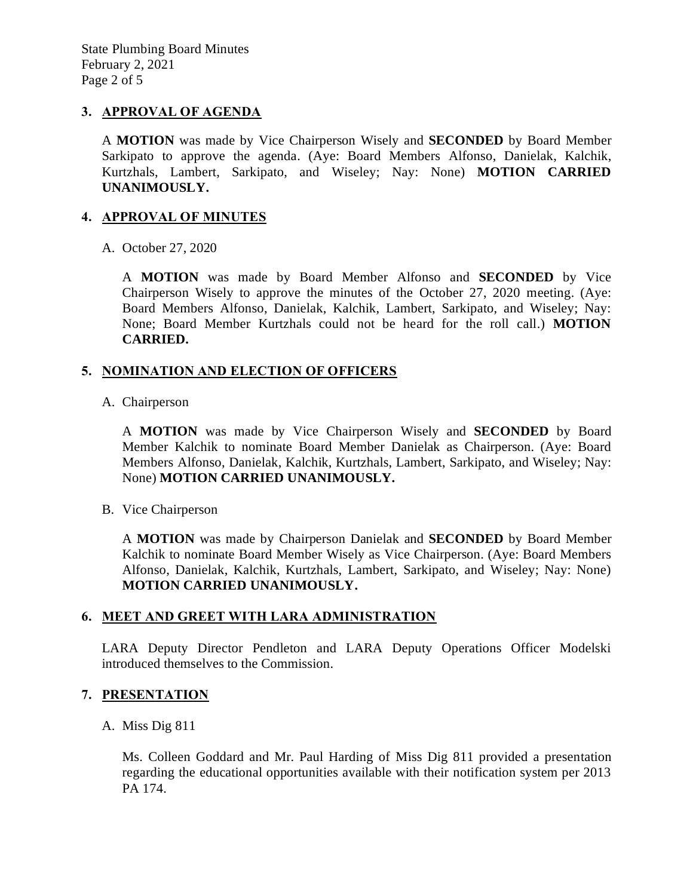State Plumbing Board Minutes February 2, 2021 Page 2 of 5

### **3. APPROVAL OF AGENDA**

A **MOTION** was made by Vice Chairperson Wisely and **SECONDED** by Board Member Sarkipato to approve the agenda. (Aye: Board Members Alfonso, Danielak, Kalchik, Kurtzhals, Lambert, Sarkipato, and Wiseley; Nay: None) **MOTION CARRIED UNANIMOUSLY.**

#### **4. APPROVAL OF MINUTES**

A. October 27, 2020

A **MOTION** was made by Board Member Alfonso and **SECONDED** by Vice Chairperson Wisely to approve the minutes of the October 27, 2020 meeting. (Aye: Board Members Alfonso, Danielak, Kalchik, Lambert, Sarkipato, and Wiseley; Nay: None; Board Member Kurtzhals could not be heard for the roll call.) **MOTION CARRIED.**

#### **5. NOMINATION AND ELECTION OF OFFICERS**

A. Chairperson

A **MOTION** was made by Vice Chairperson Wisely and **SECONDED** by Board Member Kalchik to nominate Board Member Danielak as Chairperson. (Aye: Board Members Alfonso, Danielak, Kalchik, Kurtzhals, Lambert, Sarkipato, and Wiseley; Nay: None) **MOTION CARRIED UNANIMOUSLY.**

B. Vice Chairperson

A **MOTION** was made by Chairperson Danielak and **SECONDED** by Board Member Kalchik to nominate Board Member Wisely as Vice Chairperson. (Aye: Board Members Alfonso, Danielak, Kalchik, Kurtzhals, Lambert, Sarkipato, and Wiseley; Nay: None) **MOTION CARRIED UNANIMOUSLY.**

#### **6. MEET AND GREET WITH LARA ADMINISTRATION**

LARA Deputy Director Pendleton and LARA Deputy Operations Officer Modelski introduced themselves to the Commission.

#### **7. PRESENTATION**

#### A. Miss Dig 811

Ms. Colleen Goddard and Mr. Paul Harding of Miss Dig 811 provided a presentation regarding the educational opportunities available with their notification system per 2013 PA 174.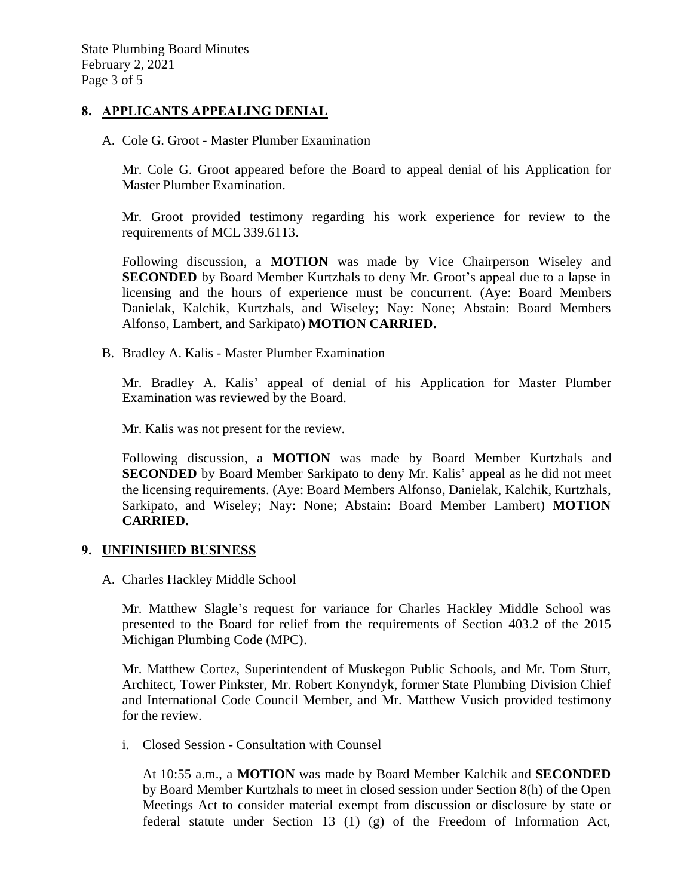#### **8. APPLICANTS APPEALING DENIAL**

A. Cole G. Groot - Master Plumber Examination

Mr. Cole G. Groot appeared before the Board to appeal denial of his Application for Master Plumber Examination.

Mr. Groot provided testimony regarding his work experience for review to the requirements of MCL 339.6113.

Following discussion, a **MOTION** was made by Vice Chairperson Wiseley and **SECONDED** by Board Member Kurtzhals to deny Mr. Groot's appeal due to a lapse in licensing and the hours of experience must be concurrent. (Aye: Board Members Danielak, Kalchik, Kurtzhals, and Wiseley; Nay: None; Abstain: Board Members Alfonso, Lambert, and Sarkipato) **MOTION CARRIED.**

B. Bradley A. Kalis - Master Plumber Examination

Mr. Bradley A. Kalis' appeal of denial of his Application for Master Plumber Examination was reviewed by the Board.

Mr. Kalis was not present for the review.

Following discussion, a **MOTION** was made by Board Member Kurtzhals and **SECONDED** by Board Member Sarkipato to deny Mr. Kalis' appeal as he did not meet the licensing requirements. (Aye: Board Members Alfonso, Danielak, Kalchik, Kurtzhals, Sarkipato, and Wiseley; Nay: None; Abstain: Board Member Lambert) **MOTION CARRIED.**

#### **9. UNFINISHED BUSINESS**

A. Charles Hackley Middle School

Mr. Matthew Slagle's request for variance for Charles Hackley Middle School was presented to the Board for relief from the requirements of Section 403.2 of the 2015 Michigan Plumbing Code (MPC).

Mr. Matthew Cortez, Superintendent of Muskegon Public Schools, and Mr. Tom Sturr, Architect, Tower Pinkster, Mr. Robert Konyndyk, former State Plumbing Division Chief and International Code Council Member, and Mr. Matthew Vusich provided testimony for the review.

i. Closed Session - Consultation with Counsel

At 10:55 a.m., a **MOTION** was made by Board Member Kalchik and **SECONDED** by Board Member Kurtzhals to meet in closed session under Section 8(h) of the Open Meetings Act to consider material exempt from discussion or disclosure by state or federal statute under Section 13 (1) (g) of the Freedom of Information Act,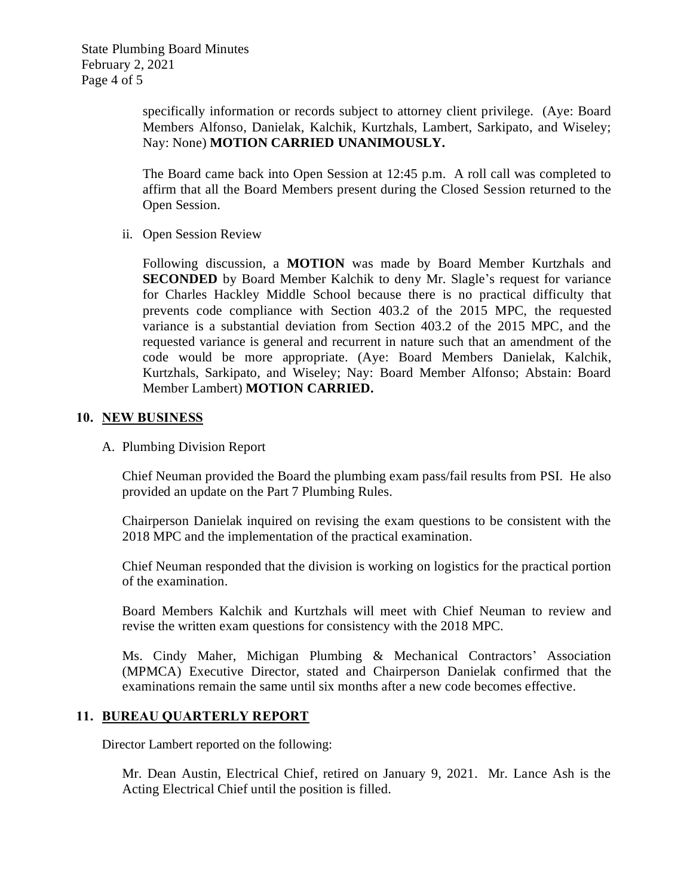specifically information or records subject to attorney client privilege. (Aye: Board Members Alfonso, Danielak, Kalchik, Kurtzhals, Lambert, Sarkipato, and Wiseley; Nay: None) **MOTION CARRIED UNANIMOUSLY.**

The Board came back into Open Session at 12:45 p.m. A roll call was completed to affirm that all the Board Members present during the Closed Session returned to the Open Session.

ii. Open Session Review

Following discussion, a **MOTION** was made by Board Member Kurtzhals and **SECONDED** by Board Member Kalchik to deny Mr. Slagle's request for variance for Charles Hackley Middle School because there is no practical difficulty that prevents code compliance with Section 403.2 of the 2015 MPC, the requested variance is a substantial deviation from Section 403.2 of the 2015 MPC, and the requested variance is general and recurrent in nature such that an amendment of the code would be more appropriate. (Aye: Board Members Danielak, Kalchik, Kurtzhals, Sarkipato, and Wiseley; Nay: Board Member Alfonso; Abstain: Board Member Lambert) **MOTION CARRIED.**

### **10. NEW BUSINESS**

A. Plumbing Division Report

Chief Neuman provided the Board the plumbing exam pass/fail results from PSI. He also provided an update on the Part 7 Plumbing Rules.

Chairperson Danielak inquired on revising the exam questions to be consistent with the 2018 MPC and the implementation of the practical examination.

Chief Neuman responded that the division is working on logistics for the practical portion of the examination.

Board Members Kalchik and Kurtzhals will meet with Chief Neuman to review and revise the written exam questions for consistency with the 2018 MPC.

Ms. Cindy Maher, Michigan Plumbing & Mechanical Contractors' Association (MPMCA) Executive Director, stated and Chairperson Danielak confirmed that the examinations remain the same until six months after a new code becomes effective.

### **11. BUREAU QUARTERLY REPORT**

Director Lambert reported on the following:

Mr. Dean Austin, Electrical Chief, retired on January 9, 2021. Mr. Lance Ash is the Acting Electrical Chief until the position is filled.